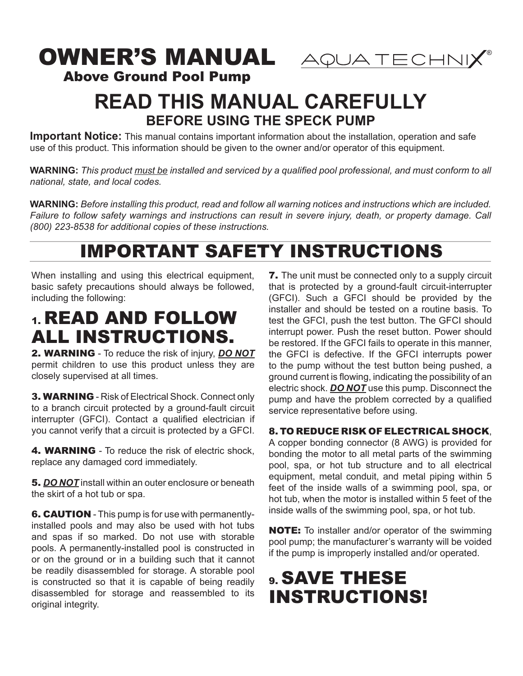# OWNER'S MANUAL AQUATECHNIX®



Above Ground Pool Pump

# **READ THIS MANUAL CAREFULLY BEFORE USING THE SPECK PUMP**

**Important Notice:** This manual contains important information about the installation, operation and safe use of this product. This information should be given to the owner and/or operator of this equipment.

**WARNING:** *This product must be installed and serviced by a qualified pool professional, and must conform to all national, state, and local codes.* 

**WARNING:** *Before installing this product, read and follow all warning notices and instructions which are included. Failure to follow safety warnings and instructions can result in severe injury, death, or property damage. Call (800) 223-8538 for additional copies of these instructions.*

# IMPORTANT SAFETY INSTRUCTIONS

When installing and using this electrical equipment, basic safety precautions should always be followed, including the following:

# 1. READ AND FOLLOW ALL INSTRUCTIONS.

2. WARNING - To reduce the risk of injury, *DO NOT* permit children to use this product unless they are closely supervised at all times.

3. WARNING - Risk of Electrical Shock. Connect only to a branch circuit protected by a ground-fault circuit interrupter (GFCI). Contact a qualified electrician if you cannot verify that a circuit is protected by a GFCI.

**4. WARNING** - To reduce the risk of electric shock. replace any damaged cord immediately.

5. *DO NOT* install within an outer enclosure or beneath the skirt of a hot tub or spa.

**6. CAUTION** - This pump is for use with permanentlyinstalled pools and may also be used with hot tubs and spas if so marked. Do not use with storable pools. A permanently-installed pool is constructed in or on the ground or in a building such that it cannot be readily disassembled for storage. A storable pool is constructed so that it is capable of being readily disassembled for storage and reassembled to its original integrity.

**7.** The unit must be connected only to a supply circuit that is protected by a ground-fault circuit-interrupter (GFCI). Such a GFCI should be provided by the installer and should be tested on a routine basis. To test the GFCI, push the test button. The GFCI should interrupt power. Push the reset button. Power should be restored. If the GFCI fails to operate in this manner, the GFCI is defective. If the GFCI interrupts power to the pump without the test button being pushed, a ground current is flowing, indicating the possibility of an electric shock. *DO NOT* use this pump. Disconnect the pump and have the problem corrected by a qualified service representative before using.

## 8. TO REDUCE RISK OF ELECTRICAL SHOCK,

A copper bonding connector (8 AWG) is provided for bonding the motor to all metal parts of the swimming pool, spa, or hot tub structure and to all electrical equipment, metal conduit, and metal piping within 5 feet of the inside walls of a swimming pool, spa, or hot tub, when the motor is installed within 5 feet of the inside walls of the swimming pool, spa, or hot tub.

NOTE: To installer and/or operator of the swimming pool pump; the manufacturer's warranty will be voided if the pump is improperly installed and/or operated.

# 9. SAVE THESE INSTRUCTIONS!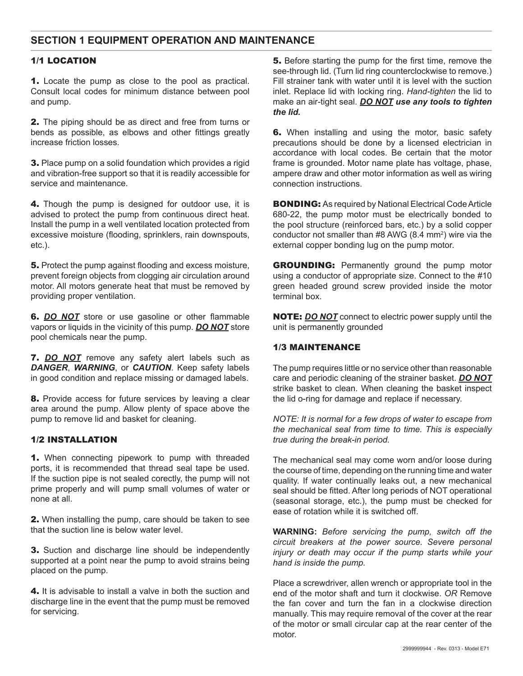### **SECTION 1 EQUIPMENT OPERATION AND MAINTENANCE**

#### 1/1 LOCATION

1. Locate the pump as close to the pool as practical. Consult local codes for minimum distance between pool and pump.

2. The piping should be as direct and free from turns or bends as possible, as elbows and other fittings greatly increase friction losses.

3. Place pump on a solid foundation which provides a rigid and vibration-free support so that it is readily accessible for service and maintenance.

4. Though the pump is designed for outdoor use, it is advised to protect the pump from continuous direct heat. Install the pump in a well ventilated location protected from excessive moisture (flooding, sprinklers, rain downspouts, etc.).

**5.** Protect the pump against flooding and excess moisture, prevent foreign objects from clogging air circulation around motor. All motors generate heat that must be removed by providing proper ventilation.

6. *DO NOT* store or use gasoline or other flammable vapors or liquids in the vicinity of this pump. *DO NOT* store pool chemicals near the pump.

7. *DO NOT* remove any safety alert labels such as *DANGER*, *WARNING*, or *CAUTION*. Keep safety labels in good condition and replace missing or damaged labels.

8. Provide access for future services by leaving a clear area around the pump. Allow plenty of space above the pump to remove lid and basket for cleaning.

#### 1/2 INSTALLATION

1. When connecting pipework to pump with threaded ports, it is recommended that thread seal tape be used. If the suction pipe is not sealed corectly, the pump will not prime properly and will pump small volumes of water or none at all.

2. When installing the pump, care should be taken to see that the suction line is below water level.

**3.** Suction and discharge line should be independently supported at a point near the pump to avoid strains being placed on the pump.

4. It is advisable to install a valve in both the suction and discharge line in the event that the pump must be removed for servicing.

5. Before starting the pump for the first time, remove the see-through lid. (Turn lid ring counterclockwise to remove.) Fill strainer tank with water until it is level with the suction inlet. Replace lid with locking ring. *Hand-tighten* the lid to make an air-tight seal. *DO NOT use any tools to tighten the lid.* 

**6.** When installing and using the motor, basic safety precautions should be done by a licensed electrician in accordance with local codes. Be certain that the motor frame is grounded. Motor name plate has voltage, phase, ampere draw and other motor information as well as wiring connection instructions.

BONDING: As required by National Electrical Code Article 680-22, the pump motor must be electrically bonded to the pool structure (reinforced bars, etc.) by a solid copper conductor not smaller than #8 AWG (8.4 mm<sup>2</sup>) wire via the external copper bonding lug on the pump motor.

**GROUNDING:** Permanently ground the pump motor using a conductor of appropriate size. Connect to the #10 green headed ground screw provided inside the motor terminal box.

NOTE: *DO NOT* connect to electric power supply until the unit is permanently grounded

#### 1/3 MAINTENANCE

The pump requires little or no service other than reasonable care and periodic cleaning of the strainer basket. *DO NOT* strike basket to clean. When cleaning the basket inspect the lid o-ring for damage and replace if necessary.

*NOTE: It is normal for a few drops of water to escape from the mechanical seal from time to time. This is especially true during the break-in period.*

The mechanical seal may come worn and/or loose during the course of time, depending on the running time and water quality. If water continually leaks out, a new mechanical seal should be fitted. After long periods of NOT operational (seasonal storage, etc.), the pump must be checked for ease of rotation while it is switched off.

**WARNING:** *Before servicing the pump, switch off the circuit breakers at the power source. Severe personal injury or death may occur if the pump starts while your hand is inside the pump.* 

Place a screwdriver, allen wrench or appropriate tool in the end of the motor shaft and turn it clockwise. *OR* Remove the fan cover and turn the fan in a clockwise direction manually. This may require removal of the cover at the rear of the motor or small circular cap at the rear center of the motor.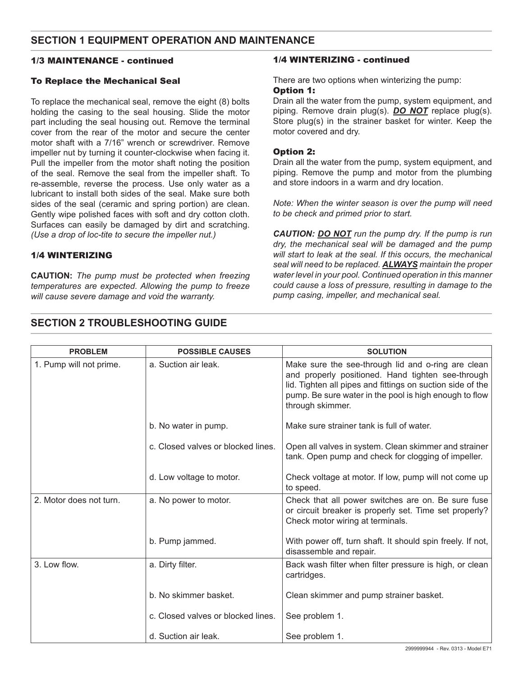### **SECTION 1 EQUIPMENT OPERATION AND MAINTENANCE**

#### 1/3 MAINTENANCE - continued

#### To Replace the Mechanical Seal

To replace the mechanical seal, remove the eight (8) bolts holding the casing to the seal housing. Slide the motor part including the seal housing out. Remove the terminal cover from the rear of the motor and secure the center motor shaft with a 7/16" wrench or screwdriver. Remove impeller nut by turning it counter-clockwise when facing it. Pull the impeller from the motor shaft noting the position of the seal. Remove the seal from the impeller shaft. To re-assemble, reverse the process. Use only water as a lubricant to install both sides of the seal. Make sure both sides of the seal (ceramic and spring portion) are clean. Gently wipe polished faces with soft and dry cotton cloth. Surfaces can easily be damaged by dirt and scratching. *(Use a drop of loc-tite to secure the impeller nut.)*

#### 1/4 WINTERIZING

**CAUTION:** *The pump must be protected when freezing temperatures are expected. Allowing the pump to freeze will cause severe damage and void the warranty.* 

#### 1/4 WINTERIZING - continued

There are two options when winterizing the pump:

#### Option 1:

Drain all the water from the pump, system equipment, and piping. Remove drain plug(s). *DO NOT* replace plug(s). Store plug(s) in the strainer basket for winter. Keep the motor covered and dry.

#### Option 2:

Drain all the water from the pump, system equipment, and piping. Remove the pump and motor from the plumbing and store indoors in a warm and dry location.

*Note: When the winter season is over the pump will need to be check and primed prior to start.*

*CAUTION: DO NOT run the pump dry. If the pump is run dry, the mechanical seal will be damaged and the pump will start to leak at the seal. If this occurs, the mechanical seal will need to be replaced. ALWAYS maintain the proper water level in your pool. Continued operation in this manner could cause a loss of pressure, resulting in damage to the pump casing, impeller, and mechanical seal.*

| <b>PROBLEM</b>          | <b>POSSIBLE CAUSES</b>             | <b>SOLUTION</b>                                                                                                                                                                                                                                     |
|-------------------------|------------------------------------|-----------------------------------------------------------------------------------------------------------------------------------------------------------------------------------------------------------------------------------------------------|
| 1. Pump will not prime. | a. Suction air leak.               | Make sure the see-through lid and o-ring are clean<br>and properly positioned. Hand tighten see-through<br>lid. Tighten all pipes and fittings on suction side of the<br>pump. Be sure water in the pool is high enough to flow<br>through skimmer. |
|                         | b. No water in pump.               | Make sure strainer tank is full of water.                                                                                                                                                                                                           |
|                         | c. Closed valves or blocked lines. | Open all valves in system. Clean skimmer and strainer<br>tank. Open pump and check for clogging of impeller.                                                                                                                                        |
|                         | d. Low voltage to motor.           | Check voltage at motor. If low, pump will not come up<br>to speed.                                                                                                                                                                                  |
| 2. Motor does not turn. | a. No power to motor.              | Check that all power switches are on. Be sure fuse<br>or circuit breaker is properly set. Time set properly?<br>Check motor wiring at terminals.                                                                                                    |
|                         | b. Pump jammed.                    | With power off, turn shaft. It should spin freely. If not,<br>disassemble and repair.                                                                                                                                                               |
| 3. Low flow.            | a. Dirty filter.                   | Back wash filter when filter pressure is high, or clean<br>cartridges.                                                                                                                                                                              |
|                         | b. No skimmer basket.              | Clean skimmer and pump strainer basket.                                                                                                                                                                                                             |
|                         | c. Closed valves or blocked lines. | See problem 1.                                                                                                                                                                                                                                      |
|                         | d. Suction air leak.               | See problem 1.                                                                                                                                                                                                                                      |

### **SECTION 2 TROUBLESHOOTING GUIDE**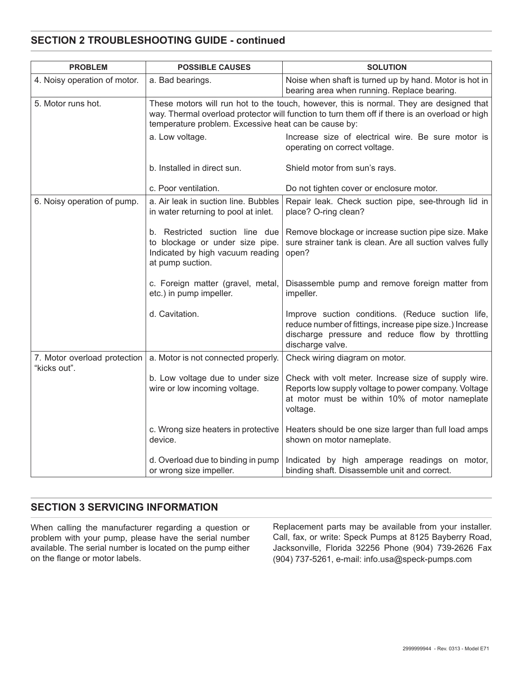## **SECTION 2 TROUBLESHOOTING GUIDE - continued**

| <b>PROBLEM</b>                               | <b>POSSIBLE CAUSES</b>                                                                                                                                                                                                                            | <b>SOLUTION</b>                                                                                                                                                                       |  |
|----------------------------------------------|---------------------------------------------------------------------------------------------------------------------------------------------------------------------------------------------------------------------------------------------------|---------------------------------------------------------------------------------------------------------------------------------------------------------------------------------------|--|
| 4. Noisy operation of motor.                 | a. Bad bearings.                                                                                                                                                                                                                                  | Noise when shaft is turned up by hand. Motor is hot in<br>bearing area when running. Replace bearing.                                                                                 |  |
| 5. Motor runs hot.                           | These motors will run hot to the touch, however, this is normal. They are designed that<br>way. Thermal overload protector will function to turn them off if there is an overload or high<br>temperature problem. Excessive heat can be cause by: |                                                                                                                                                                                       |  |
|                                              | a. Low voltage.                                                                                                                                                                                                                                   | Increase size of electrical wire. Be sure motor is<br>operating on correct voltage.                                                                                                   |  |
|                                              | b. Installed in direct sun.                                                                                                                                                                                                                       | Shield motor from sun's rays.                                                                                                                                                         |  |
|                                              | c. Poor ventilation.                                                                                                                                                                                                                              | Do not tighten cover or enclosure motor.                                                                                                                                              |  |
| 6. Noisy operation of pump.                  | a. Air leak in suction line. Bubbles<br>in water returning to pool at inlet.                                                                                                                                                                      | Repair leak. Check suction pipe, see-through lid in<br>place? O-ring clean?                                                                                                           |  |
|                                              | b. Restricted suction line due<br>to blockage or under size pipe.<br>Indicated by high vacuum reading<br>at pump suction.                                                                                                                         | Remove blockage or increase suction pipe size. Make<br>sure strainer tank is clean. Are all suction valves fully<br>open?                                                             |  |
|                                              | c. Foreign matter (gravel, metal,<br>etc.) in pump impeller.                                                                                                                                                                                      | Disassemble pump and remove foreign matter from<br>impeller.                                                                                                                          |  |
|                                              | d. Cavitation.                                                                                                                                                                                                                                    | Improve suction conditions. (Reduce suction life,<br>reduce number of fittings, increase pipe size.) Increase<br>discharge pressure and reduce flow by throttling<br>discharge valve. |  |
| 7. Motor overload protection<br>"kicks out". | a. Motor is not connected properly.                                                                                                                                                                                                               | Check wiring diagram on motor.                                                                                                                                                        |  |
|                                              | b. Low voltage due to under size<br>wire or low incoming voltage.                                                                                                                                                                                 | Check with volt meter. Increase size of supply wire.<br>Reports low supply voltage to power company. Voltage<br>at motor must be within 10% of motor nameplate<br>voltage.            |  |
|                                              | c. Wrong size heaters in protective<br>device.                                                                                                                                                                                                    | Heaters should be one size larger than full load amps<br>shown on motor nameplate.                                                                                                    |  |
|                                              | d. Overload due to binding in pump<br>or wrong size impeller.                                                                                                                                                                                     | Indicated by high amperage readings on motor,<br>binding shaft. Disassemble unit and correct.                                                                                         |  |

## **SECTION 3 SERVICING INFORMATION**

When calling the manufacturer regarding a question or problem with your pump, please have the serial number available. The serial number is located on the pump either on the flange or motor labels.

Replacement parts may be available from your installer. Call, fax, or write: Speck Pumps at 8125 Bayberry Road, Jacksonville, Florida 32256 Phone (904) 739-2626 Fax (904) 737-5261, e-mail: info.usa@speck-pumps.com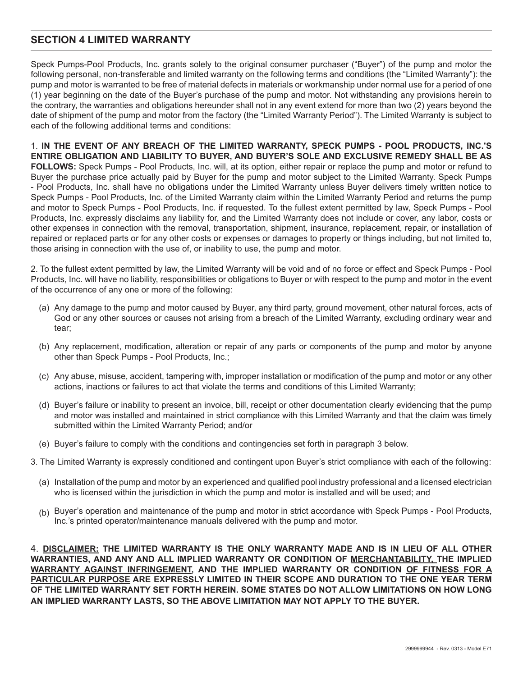### **SECTION 4 LIMITED WARRANTY**

Speck Pumps-Pool Products, Inc. grants solely to the original consumer purchaser ("Buyer") of the pump and motor the following personal, non-transferable and limited warranty on the following terms and conditions (the "Limited Warranty"): the pump and motor is warranted to be free of material defects in materials or workmanship under normal use for a period of one (1) year beginning on the date of the Buyer's purchase of the pump and motor. Not withstanding any provisions herein to the contrary, the warranties and obligations hereunder shall not in any event extend for more than two (2) years beyond the date of shipment of the pump and motor from the factory (the "Limited Warranty Period"). The Limited Warranty is subject to each of the following additional terms and conditions:

1. **IN THE EVENT OF ANY BREACH OF THE LIMITED WARRANTY, SPECK PUMPS - POOL PRODUCTS, INC.'S ENTIRE OBLIGATION AND LIABILITY TO BUYER, AND BUYER'S SOLE AND EXCLUSIVE REMEDY SHALL BE AS FOLLOWS:** Speck Pumps - Pool Products, Inc. will, at its option, either repair or replace the pump and motor or refund to Buyer the purchase price actually paid by Buyer for the pump and motor subject to the Limited Warranty. Speck Pumps - Pool Products, Inc. shall have no obligations under the Limited Warranty unless Buyer delivers timely written notice to Speck Pumps - Pool Products, Inc. of the Limited Warranty claim within the Limited Warranty Period and returns the pump and motor to Speck Pumps - Pool Products, Inc. if requested. To the fullest extent permitted by law, Speck Pumps - Pool Products, Inc. expressly disclaims any liability for, and the Limited Warranty does not include or cover, any labor, costs or other expenses in connection with the removal, transportation, shipment, insurance, replacement, repair, or installation of repaired or replaced parts or for any other costs or expenses or damages to property or things including, but not limited to, those arising in connection with the use of, or inability to use, the pump and motor.

2. To the fullest extent permitted by law, the Limited Warranty will be void and of no force or effect and Speck Pumps - Pool Products, Inc. will have no liability, responsibilities or obligations to Buyer or with respect to the pump and motor in the event of the occurrence of any one or more of the following:

- (a) Any damage to the pump and motor caused by Buyer, any third party, ground movement, other natural forces, acts of God or any other sources or causes not arising from a breach of the Limited Warranty, excluding ordinary wear and tear;
- (b) Any replacement, modification, alteration or repair of any parts or components of the pump and motor by anyone other than Speck Pumps - Pool Products, Inc.;
- (c) Any abuse, misuse, accident, tampering with, improper installation or modification of the pump and motor or any other actions, inactions or failures to act that violate the terms and conditions of this Limited Warranty;
- (d) Buyer's failure or inability to present an invoice, bill, receipt or other documentation clearly evidencing that the pump and motor was installed and maintained in strict compliance with this Limited Warranty and that the claim was timely submitted within the Limited Warranty Period; and/or
- (e) Buyer's failure to comply with the conditions and contingencies set forth in paragraph 3 below.
- 3. The Limited Warranty is expressly conditioned and contingent upon Buyer's strict compliance with each of the following:
	- (a) Installation of the pump and motor by an experienced and qualified pool industry professional and a licensed electrician who is licensed within the jurisdiction in which the pump and motor is installed and will be used; and
	- (b) Buyer's operation and maintenance of the pump and motor in strict accordance with Speck Pumps Pool Products, Inc.'s printed operator/maintenance manuals delivered with the pump and motor.

4. **DISCLAIMER: THE LIMITED WARRANTY IS THE ONLY WARRANTY MADE AND IS IN LIEU OF ALL OTHER WARRANTIES, AND ANY AND ALL IMPLIED WARRANTY OR CONDITION OF MERCHANTABILITY, THE IMPLIED WARRANTY AGAINST INFRINGEMENT, AND THE IMPLIED WARRANTY OR CONDITION OF FITNESS FOR A PARTICULAR PURPOSE ARE EXPRESSLY LIMITED IN THEIR SCOPE AND DURATION TO THE ONE YEAR TERM OF THE LIMITED WARRANTY SET FORTH HEREIN. SOME STATES DO NOT ALLOW LIMITATIONS ON HOW LONG AN IMPLIED WARRANTY LASTS, SO THE ABOVE LIMITATION MAY NOT APPLY TO THE BUYER.**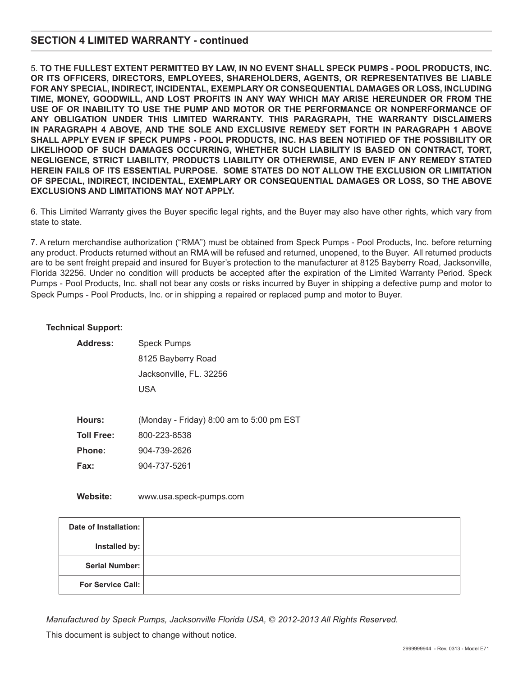### **SECTION 4 LIMITED WARRANTY - continued**

5. **TO THE FULLEST EXTENT PERMITTED BY LAW, IN NO EVENT SHALL SPECK PUMPS - POOL PRODUCTS, INC. OR ITS OFFICERS, DIRECTORS, EMPLOYEES, SHAREHOLDERS, AGENTS, OR REPRESENTATIVES BE LIABLE FOR ANY SPECIAL, INDIRECT, INCIDENTAL, EXEMPLARY OR CONSEQUENTIAL DAMAGES OR LOSS, INCLUDING TIME, MONEY, GOODWILL, AND LOST PROFITS IN ANY WAY WHICH MAY ARISE HEREUNDER OR FROM THE USE OF OR INABILITY TO USE THE PUMP AND MOTOR OR THE PERFORMANCE OR NONPERFORMANCE OF ANY OBLIGATION UNDER THIS LIMITED WARRANTY. THIS PARAGRAPH, THE WARRANTY DISCLAIMERS IN PARAGRAPH 4 ABOVE, AND THE SOLE AND EXCLUSIVE REMEDY SET FORTH IN PARAGRAPH 1 ABOVE SHALL APPLY EVEN IF SPECK PUMPS - POOL PRODUCTS, INC. HAS BEEN NOTIFIED OF THE POSSIBILITY OR LIKELIHOOD OF SUCH DAMAGES OCCURRING, WHETHER SUCH LIABILITY IS BASED ON CONTRACT, TORT, NEGLIGENCE, STRICT LIABILITY, PRODUCTS LIABILITY OR OTHERWISE, AND EVEN IF ANY REMEDY STATED HEREIN FAILS OF ITS ESSENTIAL PURPOSE. SOME STATES DO NOT ALLOW THE EXCLUSION OR LIMITATION OF SPECIAL, INDIRECT, INCIDENTAL, EXEMPLARY OR CONSEQUENTIAL DAMAGES OR LOSS, SO THE ABOVE EXCLUSIONS AND LIMITATIONS MAY NOT APPLY.**

6. This Limited Warranty gives the Buyer specific legal rights, and the Buyer may also have other rights, which vary from state to state.

7. A return merchandise authorization ("RMA") must be obtained from Speck Pumps - Pool Products, Inc. before returning any product. Products returned without an RMA will be refused and returned, unopened, to the Buyer. All returned products are to be sent freight prepaid and insured for Buyer's protection to the manufacturer at 8125 Bayberry Road, Jacksonville, Florida 32256. Under no condition will products be accepted after the expiration of the Limited Warranty Period. Speck Pumps - Pool Products, Inc. shall not bear any costs or risks incurred by Buyer in shipping a defective pump and motor to Speck Pumps - Pool Products, Inc. or in shipping a repaired or replaced pump and motor to Buyer.

#### **Technical Support:**

| <b>Address:</b>   | <b>Speck Pumps</b>                           |  |
|-------------------|----------------------------------------------|--|
|                   | 8125 Bayberry Road                           |  |
|                   | Jacksonville, FL. 32256                      |  |
|                   | USA                                          |  |
|                   |                                              |  |
| Hours:            | (Monday - Friday) $8:00$ am to $5:00$ pm EST |  |
| <b>Toll Free:</b> | 800-223-8538                                 |  |
| Phone:            | 904-739-2626                                 |  |
| Fax:              | 904-737-5261                                 |  |

**Website:** www.usa.speck-pumps.com

| Date of Installation: |  |
|-----------------------|--|
| Installed by:         |  |
| Serial Number:        |  |
| For Service Call:     |  |

*Manufactured by Speck Pumps, Jacksonville Florida USA,* © *2012-2013 All Rights Reserved.* 

This document is subject to change without notice.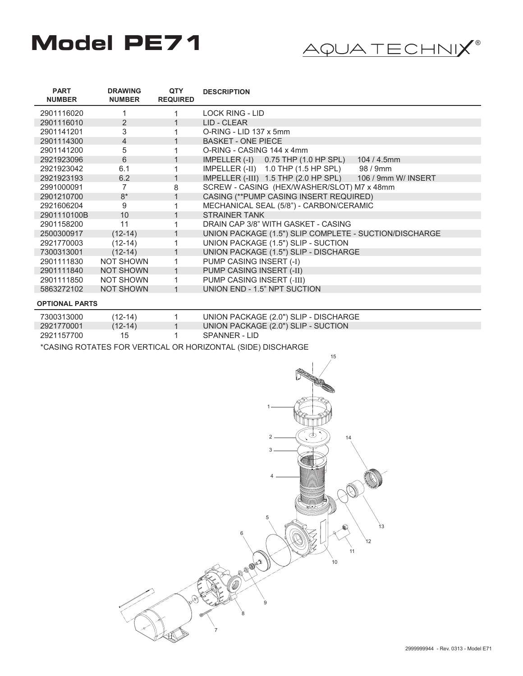# **Model PE71**  $\qquad \qquad \overbrace{ \text{AQUA TECHNIX}^{\circ}}$



| <b>PART</b><br><b>NUMBER</b> | <b>DRAWING</b><br><b>NUMBER</b> | <b>QTY</b><br><b>REQUIRED</b> | <b>DESCRIPTION</b>                                       |
|------------------------------|---------------------------------|-------------------------------|----------------------------------------------------------|
| 2901116020                   |                                 |                               | <b>LOCK RING - LID</b>                                   |
| 2901116010                   | 2                               |                               | LID - CLEAR                                              |
| 2901141201                   | 3                               |                               | O-RING - LID 137 x 5mm                                   |
| 2901114300                   | 4                               | 1                             | <b>BASKET - ONE PIECE</b>                                |
| 2901141200                   | 5                               |                               | O-RING - CASING 144 x 4mm                                |
| 2921923096                   | 6                               |                               | IMPELLER (-I) 0.75 THP (1.0 HP SPL)<br>$104/4.5$ mm      |
| 2921923042                   | 6.1                             |                               | IMPELLER (-II) 1.0 THP (1.5 HP SPL) 98 / 9mm             |
| 2921923193                   | 6.2                             |                               | IMPELLER (-III) 1.5 THP (2.0 HP SPL) 106 / 9mm W/ INSERT |
| 2991000091                   | 7                               | 8                             | SCREW - CASING (HEX/WASHER/SLOT) M7 x 48mm               |
| 2901210700                   | $8*$                            | $\mathbf 1$                   | CASING (**PUMP CASING INSERT REQUIRED)                   |
| 2921606204                   | 9                               |                               | MECHANICAL SEAL (5/8") - CARBON/CERAMIC                  |
| 2901110100B                  | 10                              |                               | <b>STRAINER TANK</b>                                     |
| 2901158200                   | 11                              |                               | DRAIN CAP 3/8" WITH GASKET - CASING                      |
| 2500300917                   | $(12-14)$                       |                               | UNION PACKAGE (1.5") SLIP COMPLETE - SUCTION/DISCHARGE   |
| 2921770003                   | $(12-14)$                       |                               | UNION PACKAGE (1.5") SLIP - SUCTION                      |
| 7300313001                   | $(12-14)$                       | $\mathbf 1$                   | UNION PACKAGE (1.5") SLIP - DISCHARGE                    |
| 2901111830                   | <b>NOT SHOWN</b>                |                               | PUMP CASING INSERT (-I)                                  |
| 2901111840                   | <b>NOT SHOWN</b>                |                               | PUMP CASING INSERT (-II)                                 |
| 2901111850                   | <b>NOT SHOWN</b>                | 1                             | PUMP CASING INSERT (-III)                                |
| 5863272102                   | <b>NOT SHOWN</b>                |                               | UNION END - 1.5" NPT SUCTION                             |
|                              |                                 |                               |                                                          |

#### **OPTIONAL PARTS**

| 7300313000 | $(12-14)$ | UNION PACKAGE (2.0") SLIP - DISCHARGE |
|------------|-----------|---------------------------------------|
| 2921770001 | $(12-14)$ | UNION PACKAGE (2.0") SLIP - SUCTION   |
| 2921157700 | 15        | SPANNER - LID                         |

\*CASING ROTATES FOR VERTICAL OR HORIZONTAL (SIDE) DISCHARGE